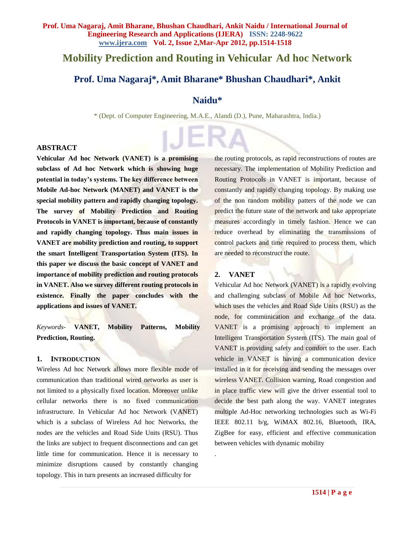# **Mobility Prediction and Routing in Vehicular Ad hoc Network**

## **Prof. Uma Nagaraj\* , Amit Bharane\* Bhushan Chaudhari\*, Ankit**

### **Naidu\***

\* (Dept. of Computer Engineering, M.A.E., Alandi (D.), Pune, Maharashtra, India.)

#### **ABSTRACT**

**Vehicular Ad hoc Network (VANET) is a promising subclass of Ad hoc Network which is showing huge potential in today's systems. The key difference between Mobile Ad-hoc Network (MANET) and VANET is the special mobility pattern and rapidly changing topology. The survey of Mobility Prediction and Routing Protocols in VANET is important, because of constantly and rapidly changing topology. Thus main issues in VANET are mobility prediction and routing, to support the smart Intelligent Transportation System (ITS). In this paper we discuss the basic concept of VANET and importance of mobility prediction and routing protocols in VANET. Also we survey different routing protocols in existence. Finally the paper concludes with the applications and issues of VANET.**

*Keywords-* **VANET, Mobility Patterns, Mobility Prediction, Routing.**

#### **1. INTRODUCTION**

Wireless Ad hoc Network allows more flexible mode of communication than traditional wired networks as user is not limited to a physically fixed location. Moreover unlike cellular networks there is no fixed communication infrastructure. In Vehicular Ad hoc Network (VANET) which is a subclass of Wireless Ad hoc Networks, the nodes are the vehicles and Road Side Units (RSU). Thus the links are subject to frequent disconnections and can get little time for communication. Hence it is necessary to minimize disruptions caused by constantly changing topology. This in turn presents an increased difficulty for

the routing protocols, as rapid reconstructions of routes are necessary. The implementation of Mobility Prediction and Routing Protocols in VANET is important, because of constantly and rapidly changing topology. By making use of the non random mobility patters of the node we can predict the future state of the network and take appropriate measures accordingly in timely fashion. Hence we can reduce overhead by eliminating the transmissions of control packets and time required to process them, which are needed to reconstruct the route.

### **2. VANET**

.

Vehicular Ad hoc Network (VANET) is a rapidly evolving and challenging subclass of Mobile Ad hoc Networks, which uses the vehicles and Road Side Units (RSU) as the node, for communication and exchange of the data. VANET is a promising approach to implement an Intelligent Transportation System (ITS). The main goal of VANET is providing safety and comfort to the user. Each vehicle in VANET is having a communication device installed in it for receiving and sending the messages over wireless VANET. Collision warning, Road congestion and in place traffic view will give the driver essential tool to decide the best path along the way. VANET integrates multiple Ad-Hoc networking technologies such as Wi-Fi IEEE 802.11 b/g, WiMAX 802.16, Bluetooth, IRA, ZigBee for easy, efficient and effective communication between vehicles with dynamic mobility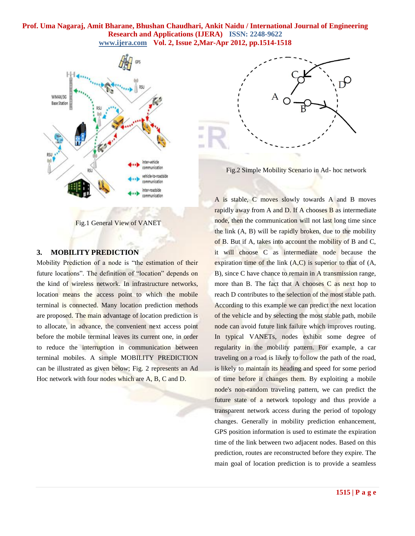

Fig.1 General View of VANET

#### **3. MOBILITY PREDICTION**

Mobility Prediction of a node is "the estimation of their future locations". The definition of "location" depends on the kind of wireless network. In infrastructure networks, location means the access point to which the mobile terminal is connected. Many location prediction methods are proposed. The main advantage of location prediction is to allocate, in advance, the convenient next access point before the mobile terminal leaves its current one, in order to reduce the interruption in communication between terminal mobiles. A simple MOBILITY PREDICTION can be illustrated as given below; Fig. 2 represents an Ad Hoc network with four nodes which are A, B, C and D.



Fig.2 Simple Mobility Scenario in Ad- hoc network

A is stable, C moves slowly towards A and B moves rapidly away from A and D. If A chooses B as intermediate node, then the communication will not last long time since the link (A, B) will be rapidly broken, due to the mobility of B. But if A, takes into account the mobility of B and C, it will choose C as intermediate node because the expiration time of the link  $(A,C)$  is superior to that of  $(A,$ B), since C have chance to remain in A transmission range, more than B. The fact that A chooses C as next hop to reach D contributes to the selection of the most stable path. According to this example we can predict the next location of the vehicle and by selecting the most stable path, mobile node can avoid future link failure which improves routing. In typical VANETs, nodes exhibit some degree of regularity in the mobility pattern. For example, a car traveling on a road is likely to follow the path of the road, is likely to maintain its heading and speed for some period of time before it changes them. By exploiting a mobile node's non-random traveling pattern, we can predict the future state of a network topology and thus provide a transparent network access during the period of topology changes. Generally in mobility prediction enhancement, GPS position information is used to estimate the expiration time of the link between two adjacent nodes. Based on this prediction, routes are reconstructed before they expire. The main goal of location prediction is to provide a seamless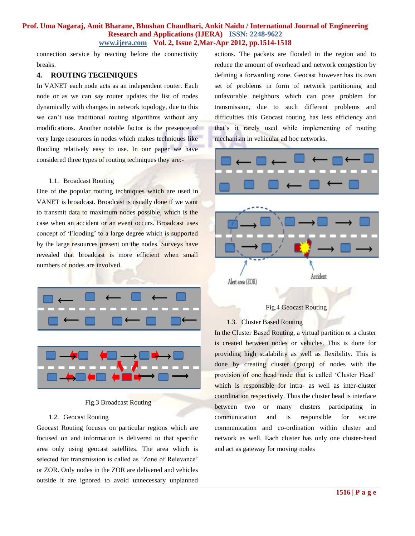connection service by reacting before the connectivity breaks.

#### **4. ROUTING TECHNIQUES**

In VANET each node acts as an independent router. Each node or as we can say router updates the list of nodes dynamically with changes in network topology, due to this we can't use traditional routing algorithms without any modifications. Another notable factor is the presence of very large resources in nodes which makes techniques like flooding relatively easy to use. In our paper we have considered three types of routing techniques they are:-

#### 1.1. Broadcast Routing

One of the popular routing techniques which are used in VANET is broadcast. Broadcast is usually done if we want to transmit data to maximum nodes possible, which is the case when an accident or an event occurs. Broadcast uses concept of "Flooding" to a large degree which is supported by the large resources present on the nodes. Surveys have revealed that broadcast is more efficient when small numbers of nodes are involved.



Fig.3 Broadcast Routing

#### 1.2. Geocast Routing

Geocast Routing focuses on particular regions which are focused on and information is delivered to that specific area only using geocast satellites. The area which is selected for transmission is called as 'Zone of Relevance' or ZOR. Only nodes in the ZOR are delivered and vehicles outside it are ignored to avoid unnecessary unplanned

actions. The packets are flooded in the region and to reduce the amount of overhead and network congestion by defining a forwarding zone. Geocast however has its own set of problems in form of network partitioning and unfavorable neighbors which can pose problem for transmission, due to such different problems and difficulties this Geocast routing has less efficiency and that"s it rarely used while implementing of routing mechanism in vehicular ad hoc networks.



### Fig.4 Geocast Routing

#### 1.3. Cluster Based Routing

In the Cluster Based Routing, a virtual partition or a cluster is created between nodes or vehicles. This is done for providing high scalability as well as flexibility. This is done by creating cluster (group) of nodes with the provision of one head node that is called "Cluster Head" which is responsible for intra- as well as inter-cluster coordination respectively. Thus the cluster head is interface between two or many clusters participating in communication and is responsible for secure communication and co-ordination within cluster and network as well. Each cluster has only one cluster-head and act as gateway for moving nodes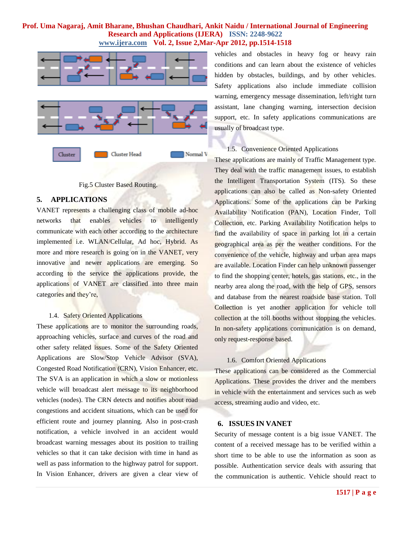



#### **5. APPLICATIONS**

VANET represents a challenging class of mobile ad-hoc networks that enables vehicles to intelligently communicate with each other according to the architecture implemented i.e. WLAN/Cellular, Ad hoc, Hybrid. As more and more research is going on in the VANET, very innovative and newer applications are emerging. So according to the service the applications provide, the applications of VANET are classified into three main categories and they"re,

### 1.4. Safety Oriented Applications

These applications are to monitor the surrounding roads, approaching vehicles, surface and curves of the road and other safety related issues. Some of the Safety Oriented Applications are Slow/Stop Vehicle Advisor (SVA), Congested Road Notification (CRN), Vision Enhancer, etc. The SVA is an application in which a slow or motionless vehicle will broadcast alert message to its neighborhood vehicles (nodes). The CRN detects and notifies about road congestions and accident situations, which can be used for efficient route and journey planning. Also in post-crash notification, a vehicle involved in an accident would broadcast warning messages about its position to trailing vehicles so that it can take decision with time in hand as well as pass information to the highway patrol for support. In Vision Enhancer, drivers are given a clear view of vehicles and obstacles in heavy fog or heavy rain conditions and can learn about the existence of vehicles hidden by obstacles, buildings, and by other vehicles. Safety applications also include immediate collision warning, emergency message dissemination, left/right turn assistant, lane changing warning, intersection decision support, etc. In safety applications communications are usually of broadcast type.

### 1.5. Convenience Oriented Applications

These applications are mainly of Traffic Management type. They deal with the traffic management issues, to establish the Intelligent Transportation System (ITS). So these applications can also be called as Non-safety Oriented Applications. Some of the applications can be Parking Availability Notification (PAN), Location Finder, Toll Collection, etc. Parking Availability Notification helps to find the availability of space in parking lot in a certain geographical area as per the weather conditions. For the convenience of the vehicle, highway and urban area maps are available. Location Finder can help unknown passenger to find the shopping center, hotels, gas stations, etc., in the nearby area along the road, with the help of GPS, sensors and database from the nearest roadside base station. Toll Collection is yet another application for vehicle toll collection at the toll booths without stopping the vehicles. In non-safety applications communication is on demand, only request-response based.

#### 1.6. Comfort Oriented Applications

These applications can be considered as the Commercial Applications. These provides the driver and the members in vehicle with the entertainment and services such as web access, streaming audio and video, etc.

### **6. ISSUES IN VANET**

Security of message content is a big issue VANET. The content of a received message has to be verified within a short time to be able to use the information as soon as possible. Authentication service deals with assuring that the communication is authentic. Vehicle should react to